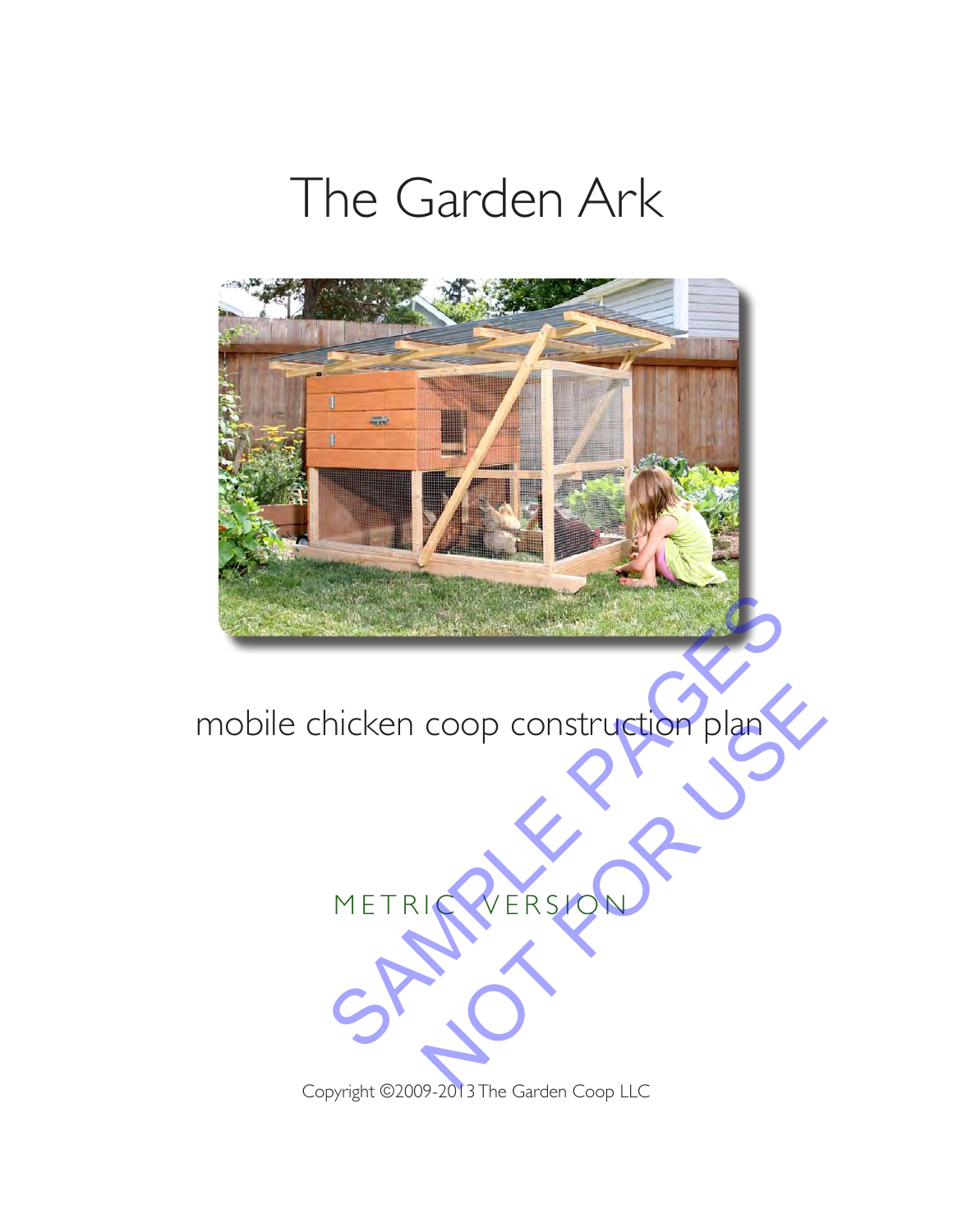# The Garden Ark



mobile chicken coop construction plan



Copyright ©2009-2013 The Garden Coop LLC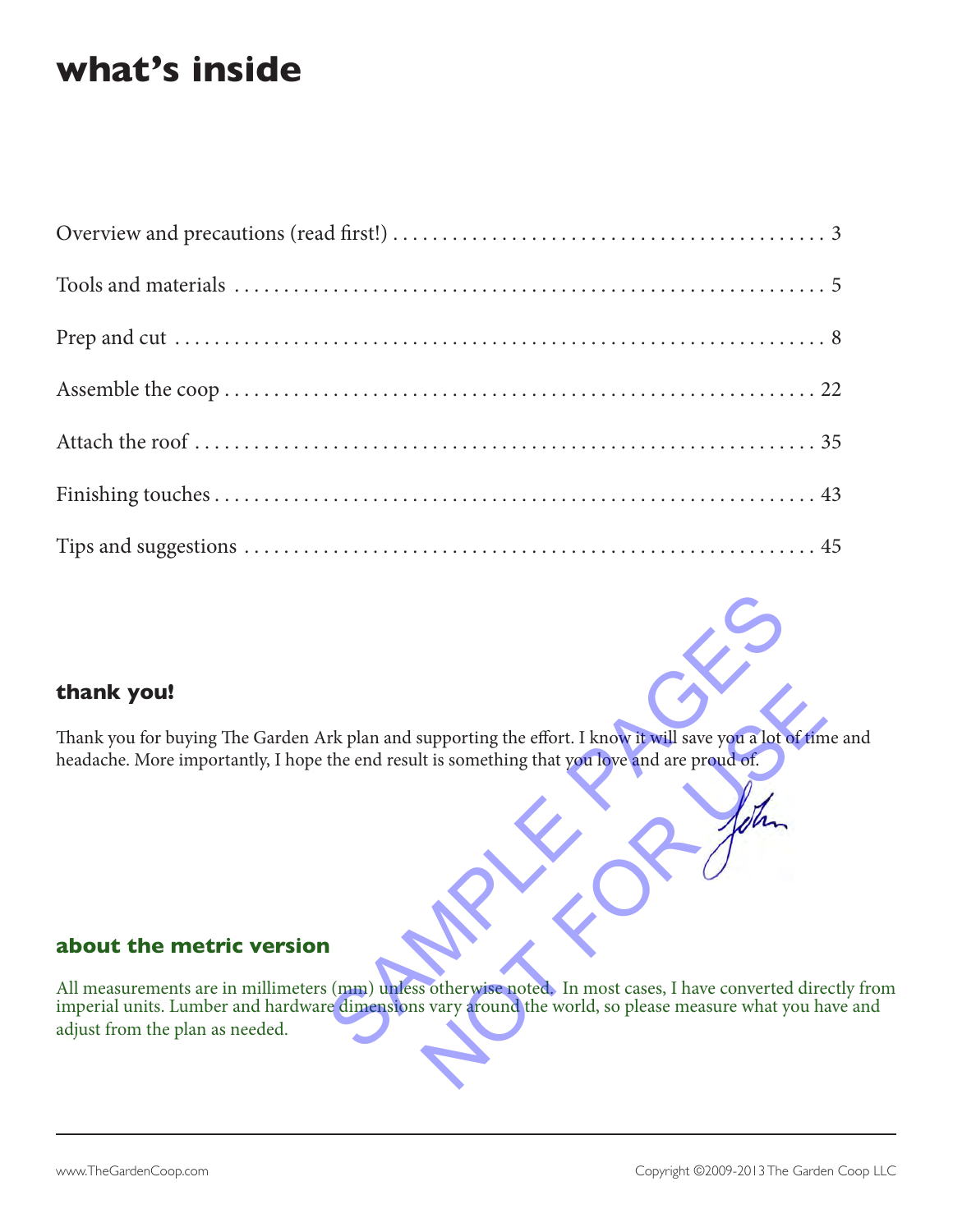### **what's inside**

#### **thank you!**

Thank you for buying The Garden Ark plan and supporting the effort. I know it will save you a lot of time and headache. More importantly, I hope the end result is something that you love and are proud of.

#### **about the metric version**

All measurements are in millimeters (mm) unless otherwise noted. In most cases, I have converted directly from imperial units. Lumber and hardware dimensions vary around the world, so please measure what you have and adjust from the plan as needed. The plan and supporting the effort. I know it will save you a lot of the end result is something that you love and are proud of. supporting the effort. I know it will save you a lot of time<br>It is something that you love and are proud of.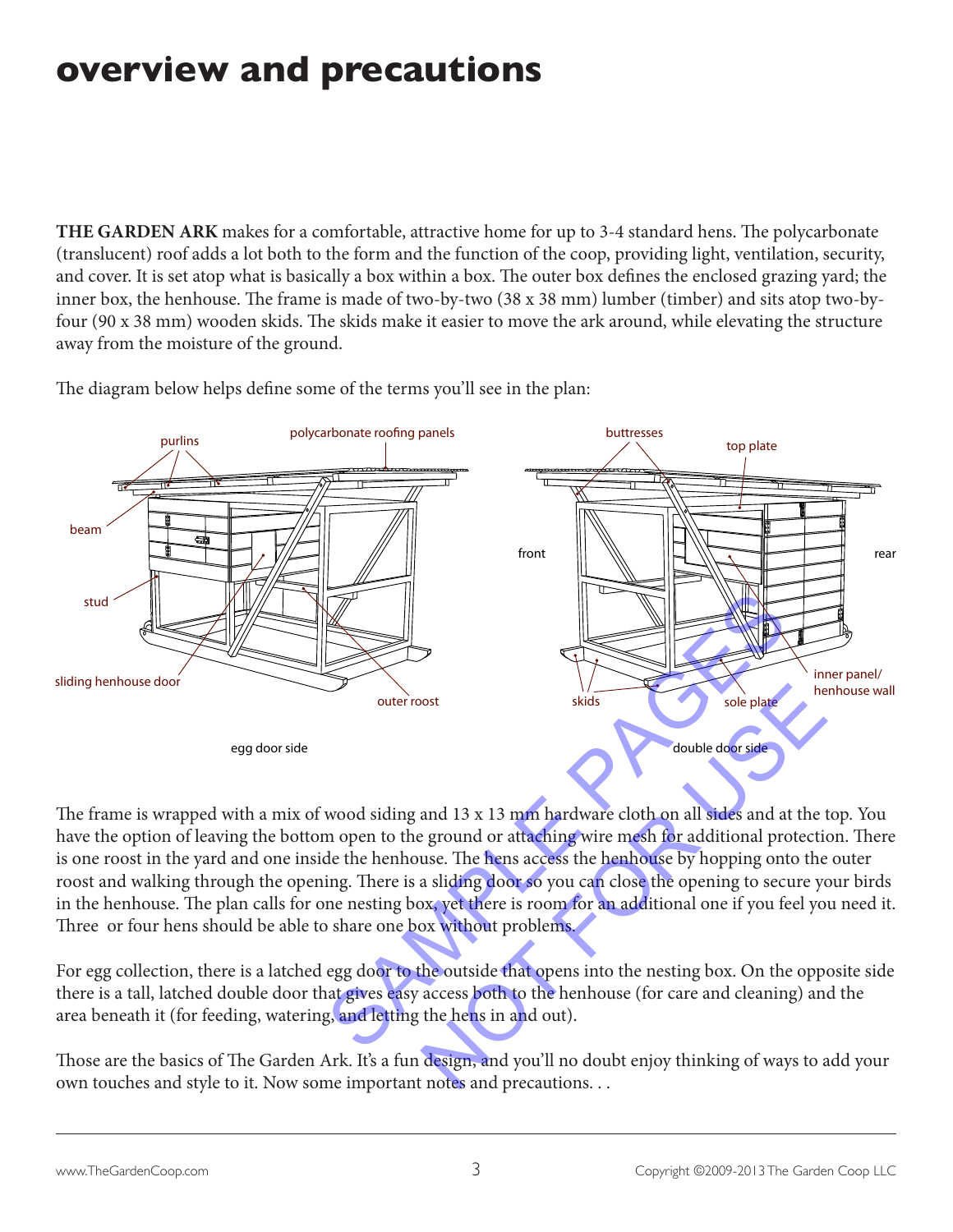# **overview and precautions**

**THE GARDEN ARK** makes for a comfortable, attractive home for up to 3-4 standard hens. The polycarbonate (translucent) roof adds a lot both to the form and the function of the coop, providing light, ventilation, security, and cover. It is set atop what is basically a box within a box. The outer box defines the enclosed grazing yard; the inner box, the henhouse. The frame is made of two-by-two (38 x 38 mm) lumber (timber) and sits atop two-byfour (90 x 38 mm) wooden skids. The skids make it easier to move the ark around, while elevating the structure away from the moisture of the ground.

The diagram below helps define some of the terms you'll see in the plan:



The frame is wrapped with a mix of wood siding and 13 x 13 mm hardware cloth on all sides and at the top. You have the option of leaving the bottom open to the ground or attaching wire mesh for additional protection. There is one roost in the yard and one inside the henhouse. The hens access the henhouse by hopping onto the outer roost and walking through the opening. There is a sliding door so you can close the opening to secure your birds in the henhouse. The plan calls for one nesting box, yet there is room for an additional one if you feel you need it. Three or four hens should be able to share one box without problems. Sole plate<br>
sole plate<br>
and 13 x 13 mm hardware cloth on all sides and at the t<br>
ground or attaching wire mesh for additional protectic<br>
use. The hens access the henhouse by hopping onto the<br>
a sliding door so you can clos

For egg collection, there is a latched egg door to the outside that opens into the nesting box. On the opposite side there is a tall, latched double door that gives easy access both to the henhouse (for care and cleaning) and the area beneath it (for feeding, watering, and letting the hens in and out).

Those are the basics of The Garden Ark. It's a fun design, and you'll no doubt enjoy thinking of ways to add your own touches and style to it. Now some important notes and precautions. . .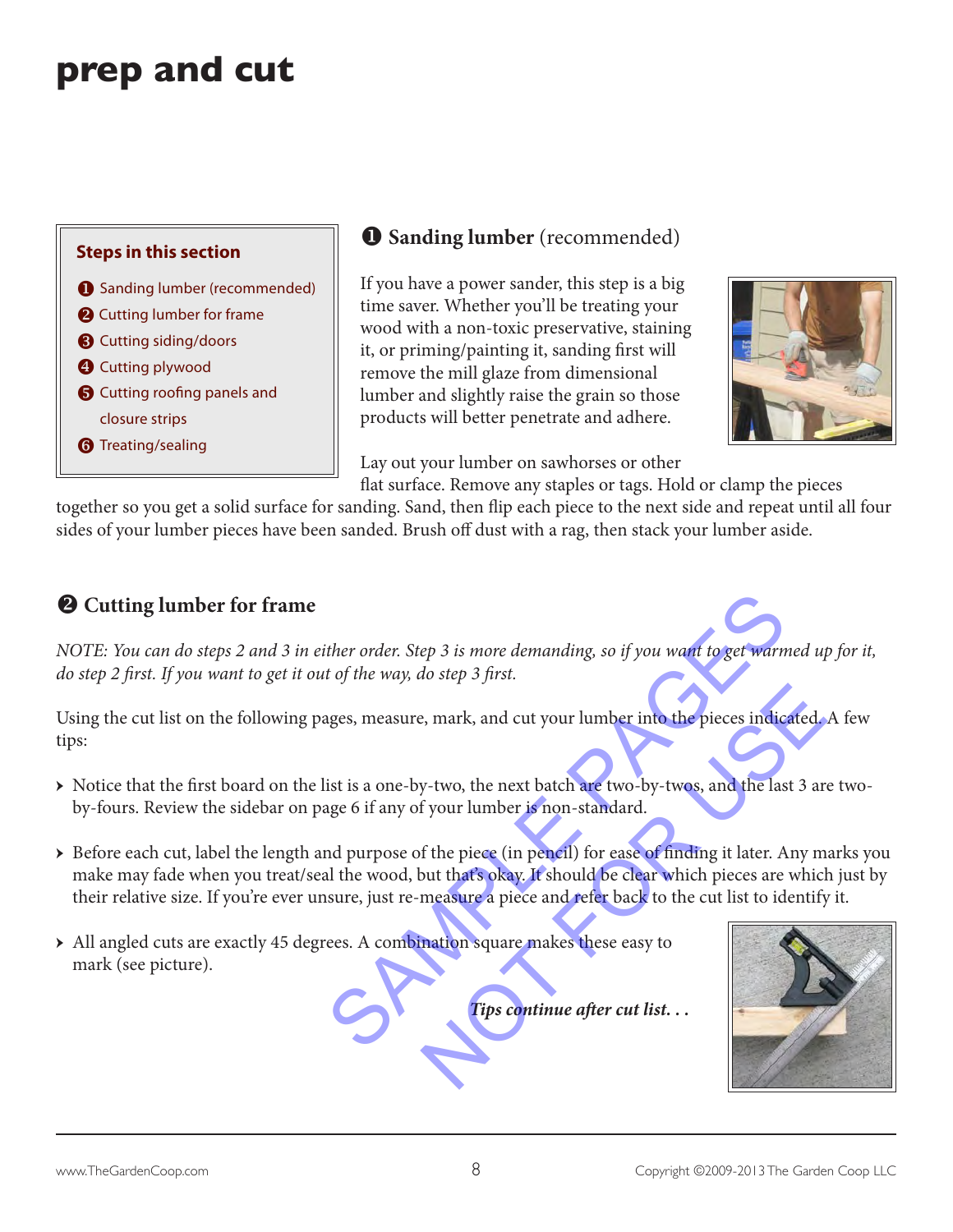# **prep and cut**



### **O** Sanding lumber (recommended)

If you have a power sander, this step is a big time saver. Whether you'll be treating your wood with a non-toxic preservative, staining it, or priming/painting it, sanding first will remove the mill glaze from dimensional lumber and slightly raise the grain so those products will better penetrate and adhere.



Lay out your lumber on sawhorses or other

flat surface. Remove any staples or tags. Hold or clamp the pieces together so you get a solid surface for sanding. Sand, then flip each piece to the next side and repeat until all four sides of your lumber pieces have been sanded. Brush off dust with a rag, then stack your lumber aside.

#### $\Theta$  Cutting lumber for frame

*NOTE: You can do steps 2 and 3 in either order. Step 3 is more demanding, so if you want to get warmed up for it, do step 2 first. If you want to get it out of the way, do step 3 first.* 

Using the cut list on the following pages, measure, mark, and cut your lumber into the pieces indicated. A few tips:

- → Notice that the first board on the list is a one-by-two, the next batch are two-by-twos, and the last 3 are twoby-fours. Review the sidebar on page 6 if any of your lumber is non-standard.
- → Before each cut, label the length and purpose of the piece (in pencil) for ease of finding it later. Any marks you make may fade when you treat/seal the wood, but that's okay. It should be clear which pieces are which just by their relative size. If you're ever unsure, just re-measure a piece and refer back to the cut list to identify it. ther order. Step 3 is more demanding, so if you want to get warmed<br>t of the way, do step 3 first.<br>ages, measure, mark, and cut your lumber into the pieces indicates<br>ist is a one-by-two, the next batch are two-by-twos, and e, mark, and cut your lumber into the pieces indicated<br>y-two, the next batch are two-by-twos, and the last 3 are<br>f your lumber is non-standard.<br>If the piece (in pencil) for ease of finding it later. Any m<br>but that's okay.
- → All angled cuts are exactly 45 degrees. A combination square makes these easy to mark (see picture).

*Tips continue after cut list. . .*

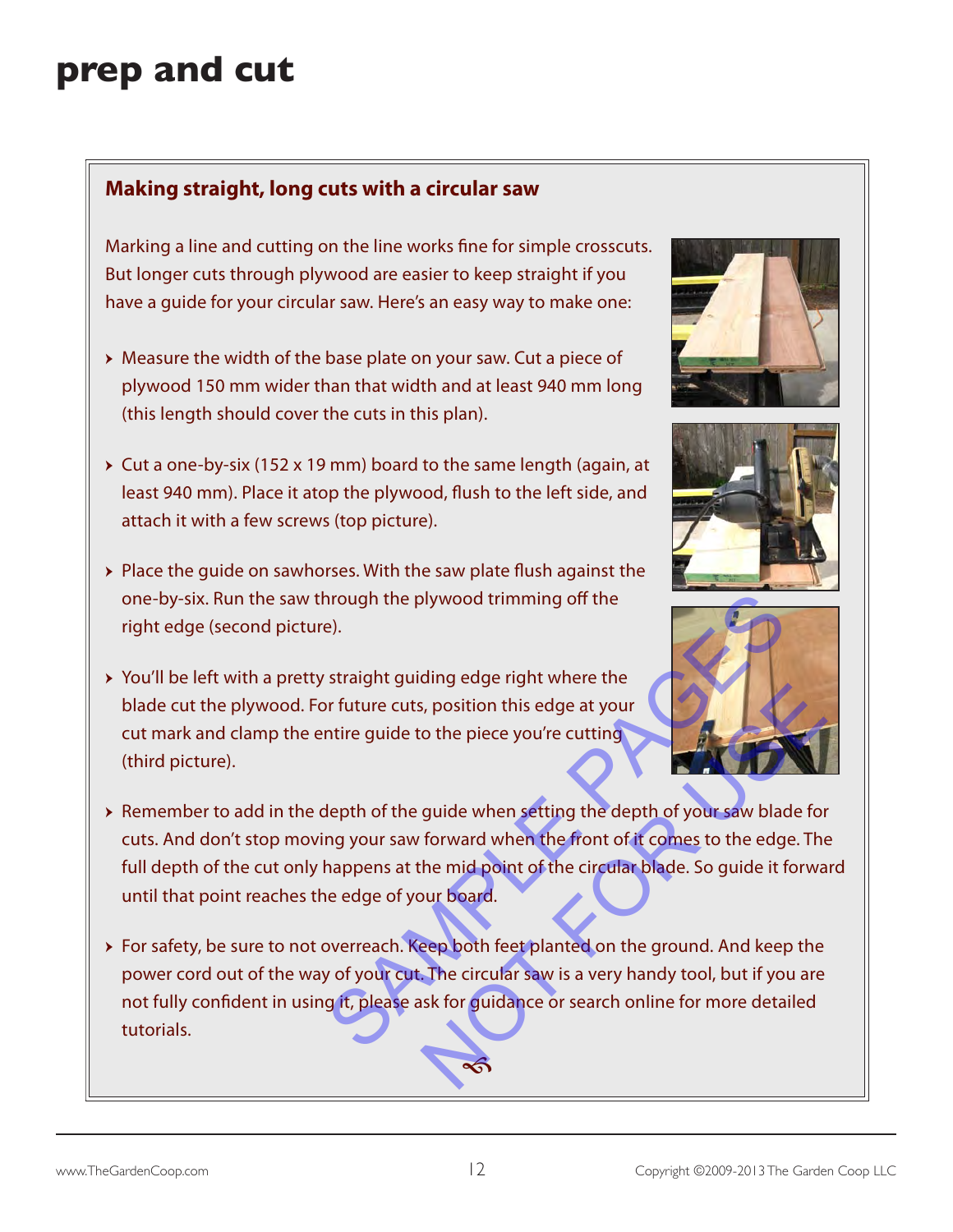# **prep and cut**

#### **Making straight, long cuts with a circular saw**

Marking a line and cutting on the line works fine for simple crosscuts. But longer cuts through plywood are easier to keep straight if you have a guide for your circular saw. Here's an easy way to make one:

- → Measure the width of the base plate on your saw. Cut a piece of plywood 150 mm wider than that width and at least 940 mm long (this length should cover the cuts in this plan).
- $\rightarrow$  Cut a one-by-six (152 x 19 mm) board to the same length (again, at least 940 mm). Place it atop the plywood, flush to the left side, and attach it with a few screws (top picture).
- → Place the guide on sawhorses. With the saw plate flush against the one-by-six. Run the saw through the plywood trimming off the right edge (second picture).
- → You'll be left with a pretty straight guiding edge right where the blade cut the plywood. For future cuts, position this edge at your cut mark and clamp the entire guide to the piece you're cutting (third picture).







- → Remember to add in the depth of the guide when setting the depth of your saw blade for cuts. And don't stop moving your saw forward when the front of it comes to the edge. The full depth of the cut only happens at the mid point of the circular blade. So guide it forward until that point reaches the edge of your board. Solution this edge at your<br>Solution this edge at your<br>guide when setting the depth of your saw blade for<br>forward when the front of it comes to the edge. The<br>the mid point of the circular blade. So guide it forward<br>our boar
- → For safety, be sure to not overreach. Keep both feet planted on the ground. And keep the power cord out of the way of your cut. The circular saw is a very handy tool, but if you are not fully confident in using it, please ask for guidance or search online for more detailed tutorials. The plywood trimming off the<br>
Straight guiding edge right where the<br>
Straight guiding edge right where the<br>
Straight guiding edge right where the<br>
Straight guiding edge right where the<br>
Martine guide to the piece you're cu

 $\hat{\mathfrak{G}}$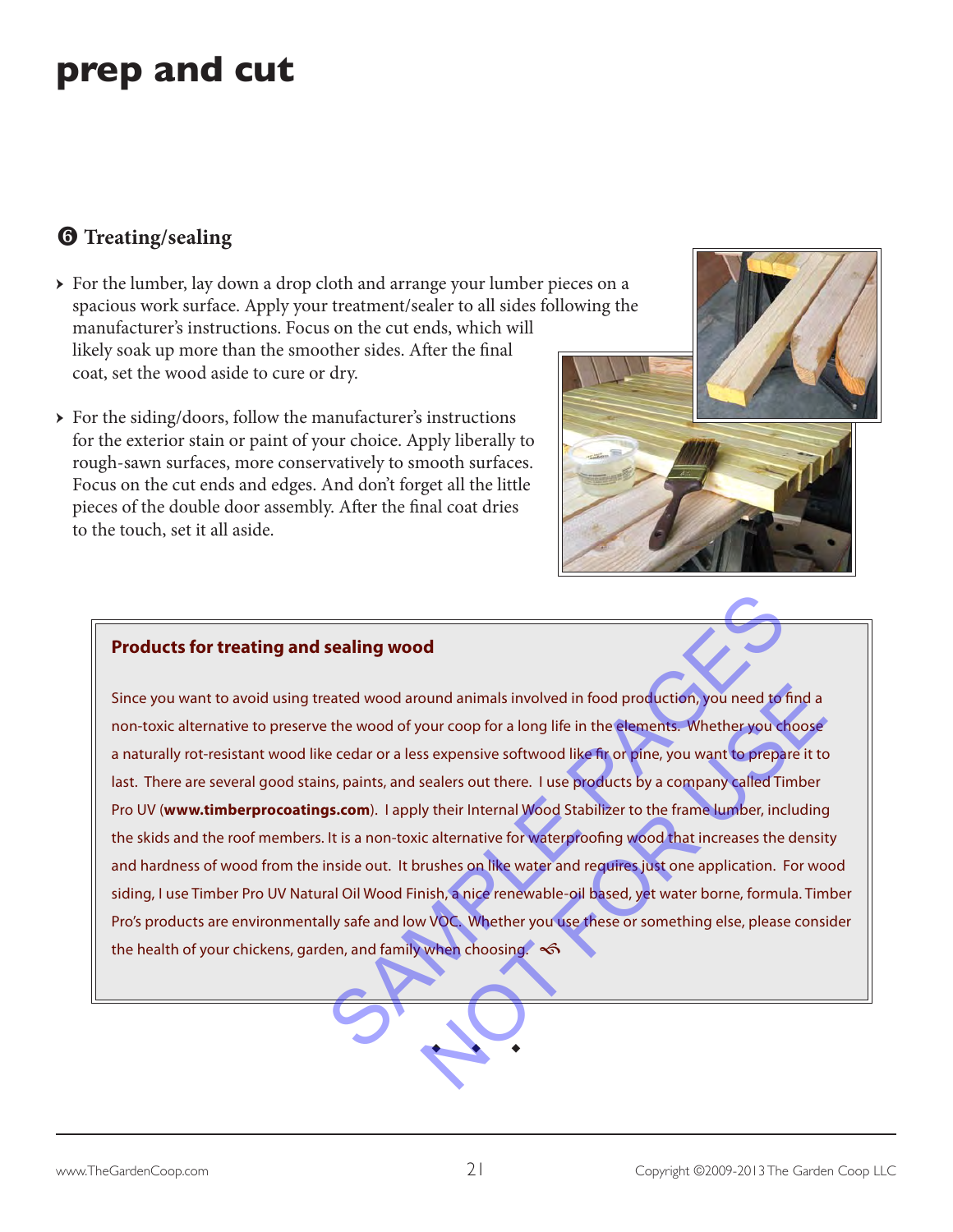# **prep and cut**

### $\Theta$  Treating/sealing

- $\rightarrow$  For the lumber, lay down a drop cloth and arrange your lumber pieces on a spacious work surface. Apply your treatment/sealer to all sides following the manufacturer's instructions. Focus on the cut ends, which will likely soak up more than the smoother sides. After the final coat, set the wood aside to cure or dry.
- $\rightarrow$  For the siding/doors, follow the manufacturer's instructions for the exterior stain or paint of your choice. Apply liberally to rough-sawn surfaces, more conservatively to smooth surfaces. Focus on the cut ends and edges. And don't forget all the little pieces of the double door assembly. After the final coat dries to the touch, set it all aside.



#### **Products for treating and sealing wood**

Since you want to avoid using treated wood around animals involved in food production, you need to find a non-toxic alternative to preserve the wood of your coop for a long life in the elements. Whether you choose a naturally rot-resistant wood like cedar or a less expensive softwood like fir or pine, you want to prepare it to last. There are several good stains, paints, and sealers out there. I use products by a company called Timber Pro UV (**www.timberprocoatings.com**). I apply their Internal Wood Stabilizer to the frame lumber, including the skids and the roof members. It is a non-toxic alternative for waterproofing wood that increases the density and hardness of wood from the inside out. It brushes on like water and requires just one application. For wood siding, I use Timber Pro UV Natural Oil Wood Finish, a nice renewable-oil based, yet water borne, formula. Timber Pro's products are environmentally safe and low VOC. Whether you use these or something else, please consider the health of your chickens, garden, and family when choosing.  $\infty$ sealing wood<br>
eated wood around animals involved in food production, you need to find<br>
the wood of your coop for a long life in the elements. Whether you choos<br>
e cedar or a less expensive softwood like fir or pine, you wa ound animals involved in food production, you need to find a<br>
sour coop for a long life in the elements. Whether you choose<br>
se expensive softwood like fir or pine, you want to prepare it to<br>
sealers out there. I use produ